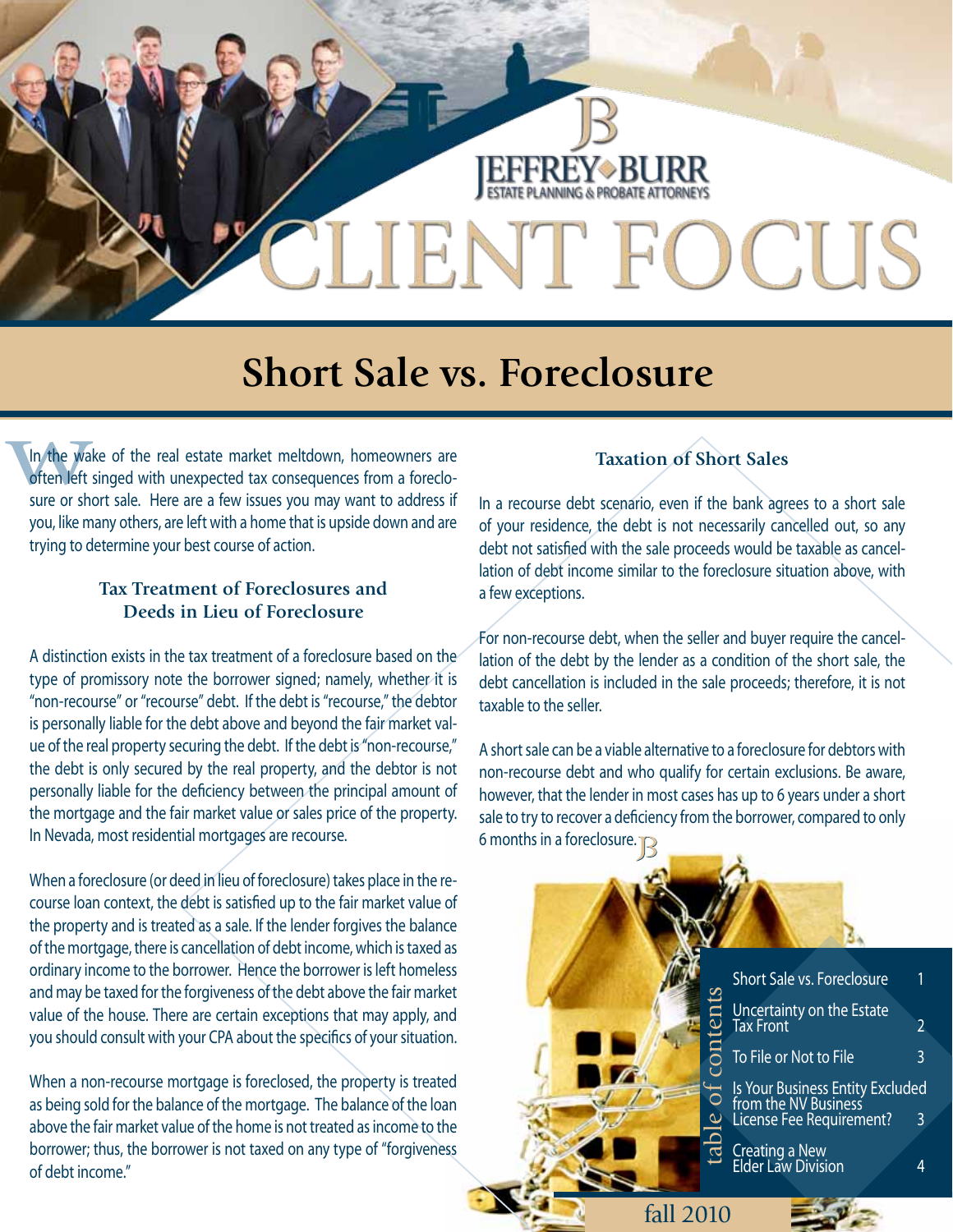

## **Short Sale vs. Foreclosure**

In the Ward<br>often left<br>sure or sh In the wake of the real estate market meltdown, homeowners are often left singed with unexpected tax consequences from a foreclosure or short sale. Here are a few issues you may want to address if you, like many others, are left with a home that is upside down and are trying to determine your best course of action.

#### **Tax Treatment of Foreclosures and Deeds in Lieu of Foreclosure**

A distinction exists in the tax treatment of a foreclosure based on the type of promissory note the borrower signed; namely, whether it is "non-recourse" or "recourse" debt. If the debt is "recourse," the debtor is personally liable for the debt above and beyond the fair market value of the real property securing the debt. If the debt is "non-recourse," the debt is only secured by the real property, and the debtor is not personally liable for the deficiency between the principal amount of the mortgage and the fair market value or sales price of the property. In Nevada, most residential mortgages are recourse.

When a foreclosure (or deed in lieu of foreclosure) takes place in the recourse loan context, the debt is satisfied up to the fair market value of the property and is treated as a sale. If the lender forgives the balance of the mortgage, there is cancellation of debt income, which is taxed as ordinary income to the borrower. Hence the borrower is left homeless and may be taxed for the forgiveness of the debt above the fair market value of the house. There are certain exceptions that may apply, and you should consult with your CPA about the specifics of your situation.

When a non-recourse mortgage is foreclosed, the property is treated as being sold for the balance of the mortgage. The balance of the loan above the fair market value of the home is not treated as income to the borrower; thus, the borrower is not taxed on any type of "forgiveness of debt income."

#### **Taxation of Short Sales**

In a recourse debt scenario, even if the bank agrees to a short sale of your residence, the debt is not necessarily cancelled out, so any debt not satisfied with the sale proceeds would be taxable as cancellation of debt income similar to the foreclosure situation above, with a few exceptions.

For non-recourse debt, when the seller and buyer require the cancellation of the debt by the lender as a condition of the short sale, the debt cancellation is included in the sale proceeds; therefore, it is not taxable to the seller.

A short sale can be a viable alternative to a foreclosure for debtors with non-recourse debt and who qualify for certain exclusions. Be aware, however, that the lender in most cases has up to 6 years under a short sale to try to recover a deficiency from the borrower, compared to only 6 months in a foreclosure.  $\mathbb{R}$ 

|                           | Short Sale vs. Foreclosure<br>Uncertainty on the Estate<br>Tax Front<br>To File or Not to File | 2<br>3 |
|---------------------------|------------------------------------------------------------------------------------------------|--------|
| $\ddot{\bullet}$<br>table | Is Your Business Entity Excluded<br>from the NV Business<br>License Fee Requirement?           | 3      |
|                           | Creating a New<br>Elder Law Division                                                           | 4      |
| fall 2010                 |                                                                                                |        |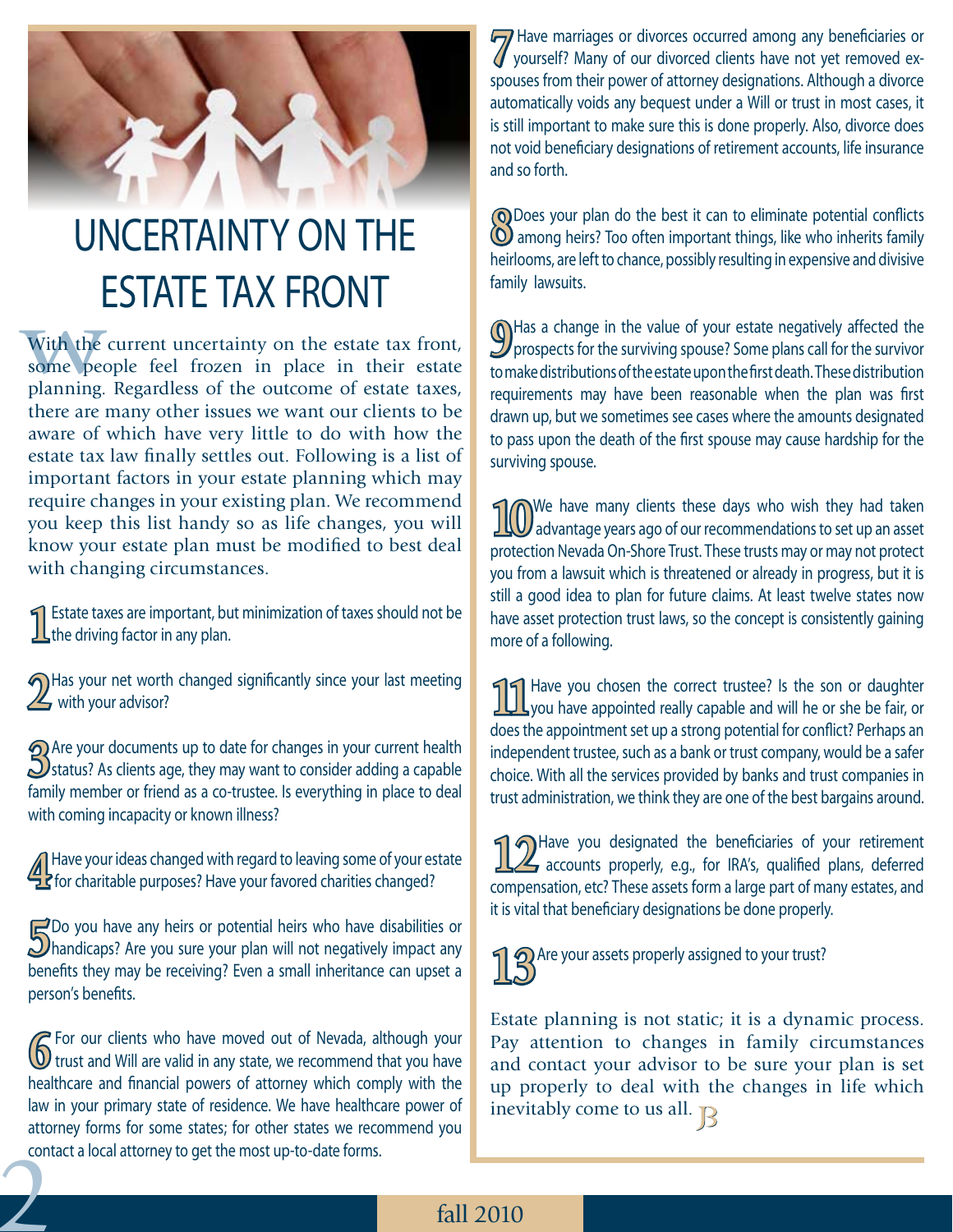# UNCERTAINTY ON THE ESTATE TAX FRONT

With the<br>some peoplanning. With the current uncertainty on the estate tax front, some people feel frozen in place in their estate planning. Regardless of the outcome of estate taxes, there are many other issues we want our clients to be aware of which have very little to do with how the estate tax law finally settles out. Following is a list of important factors in your estate planning which may require changes in your existing plan. We recommend you keep this list handy so as life changes, you will know your estate plan must be modified to best deal with changing circumstances.

**1**Estate taxes are important, but minimization of taxes should not be the driving factor in any plan.

**2**Has your net worth changed significantly since your last meeting  $\mathbb{Z}$  with your advisor?

**3** Are your documents up to date for changes in your current health **S**<br>attus? As clients age, they may want to consider adding a capable family member or friend as a co-trustee. Is everything in place to deal with coming incapacity or known illness?

Have your ideas changed with regard to leaving some of your estate<br>**Ex** for charitable purposes? Have your favored charities changed?

**5**Do you have any heirs or potential heirs who have disabilities or **S**<br>handicaps? Are you sure your plan will not negatively impact any benefits they may be receiving? Even a small inheritance can upset a person's benefits.

**2 6** For our clients who have moved out of Nevada, although your **6** trust and Will are valid in any state, we recommend that you have healthcare and financial powers of attorney which comply with the law in your primary state of residence. We have healthcare power of attorney forms for some states; for other states we recommend you contact a local attorney to get the most up-to-date forms.

**7** Have marriages or divorces occurred among any beneficiaries or yourself? Many of our divorced clients have not yet removed exspouses from their power of attorney designations. Although a divorce automatically voids any bequest under a Will or trust in most cases, it is still important to make sure this is done properly. Also, divorce does not void beneficiary designations of retirement accounts, life insurance and so forth.

**(O** Does your plan do the best it can to eliminate potential conflicts (**O** among heirs? Too often important things, like who inherits family heirlooms, are left to chance, possibly resulting in expensive and divisive family lawsuits.

**9**Has a change in the value of your estate negatively affected the prospects for the survivor  $\theta$ to make distributions of the estate upon the first death. These distribution requirements may have been reasonable when the plan was first drawn up, but we sometimes see cases where the amounts designated to pass upon the death of the first spouse may cause hardship for the surviving spouse.

**10**We have many clients these days who wish they had taken advantage years ago of our recommendations to set up an asset protection Nevada On-Shore Trust. These trusts may or may not protect you from a lawsuit which is threatened or already in progress, but it is still a good idea to plan for future claims. At least twelve states now have asset protection trust laws, so the concept is consistently gaining more of a following.

**11**Have you chosen the correct trustee? Is the son or daughter  $\prod$  you have appointed really capable and will he or she be fair, or does the appointment set up a strong potential for conflict? Perhaps an independent trustee, such as a bank or trust company, would be a safer choice. With all the services provided by banks and trust companies in trust administration, we think they are one of the best bargains around.

**12** Have you designated the beneficiaries of your retirement and accounts properly, e.g., for IRA's, qualified plans, deferred compensation, etc? These assets form a large part of many estates, and it is vital that beneficiary designations be done properly.

**2** Are your assets properly assigned to your trust?

Estate planning is not static; it is a dynamic process. Pay attention to changes in family circumstances and contact your advisor to be sure your plan is set up properly to deal with the changes in life which inevitably come to us all.  $\mathbb{R}$ 

### fall 2010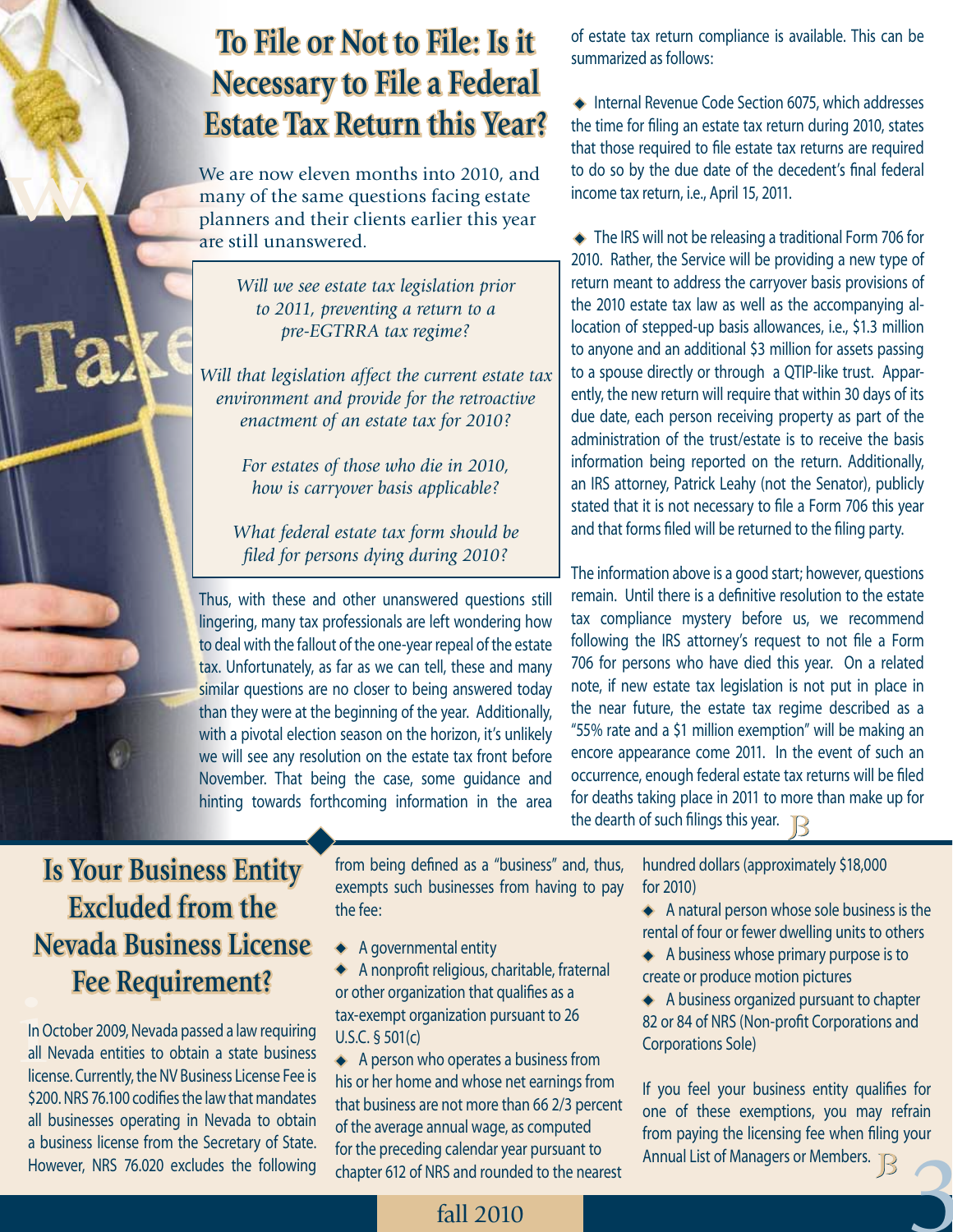## **To File or Not to File: Is it Necessary to File a Federal Estate Tax Return this Year?**

We are now eleven months into 2010, and many of the same questions facing estate planners and their clients earlier this year are still unanswered.

> *Will we see estate tax legislation prior to 2011, preventing a return to a pre-EGTRRA tax regime?*

*Will that legislation affect the current estate tax environment and provide for the retroactive enactment of an estate tax for 2010?* 

> *For estates of those who die in 2010, how is carryover basis applicable?*

*What federal estate tax form should be filed for persons dying during 2010?* 

Thus, with these and other unanswered questions still lingering, many tax professionals are left wondering how to deal with the fallout of the one-year repeal of the estate tax. Unfortunately, as far as we can tell, these and many similar questions are no closer to being answered today than they were at the beginning of the year. Additionally, with a pivotal election season on the horizon, it's unlikely we will see any resolution on the estate tax front before November. That being the case, some guidance and hinting towards forthcoming information in the area

of estate tax return compliance is available. This can be summarized as follows:

◆ Internal Revenue Code Section 6075, which addresses the time for filing an estate tax return during 2010, states that those required to file estate tax returns are required to do so by the due date of the decedent's final federal income tax return, i.e., April 15, 2011.

◆ The IRS will not be releasing a traditional Form 706 for 2010. Rather, the Service will be providing a new type of return meant to address the carryover basis provisions of the 2010 estate tax law as well as the accompanying allocation of stepped-up basis allowances, i.e., \$1.3 million to anyone and an additional \$3 million for assets passing to a spouse directly or through a QTIP-like trust. Apparently, the new return will require that within 30 days of its due date, each person receiving property as part of the administration of the trust/estate is to receive the basis information being reported on the return. Additionally, an IRS attorney, Patrick Leahy (not the Senator), publicly stated that it is not necessary to file a Form 706 this year and that forms filed will be returned to the filing party.

The information above is a good start; however, questions remain. Until there is a definitive resolution to the estate tax compliance mystery before us, we recommend following the IRS attorney's request to not file a Form 706 for persons who have died this year. On a related note, if new estate tax legislation is not put in place in the near future, the estate tax regime described as a "55% rate and a \$1 million exemption" will be making an encore appearance come 2011. In the event of such an occurrence, enough federal estate tax returns will be filed for deaths taking place in 2011 to more than make up for the dearth of such filings this year.

## **Is Your Business Entity Excluded from the Nevada Business License Fee Requirement?**

w

Ta

In October 2009, Nevada passed a law requiring<br>
all Nevada entities to obtain a state business In October 2009, Nevada passed a law requiring license. Currently, the NV Business License Fee is \$200. NRS 76.100 codifies the law that mandates all businesses operating in Nevada to obtain a business license from the Secretary of State. However, NRS 76.020 excludes the following

from being defined as a "business" and, thus, exempts such businesses from having to pay the fee:

- ◆ A governmental entity
- A nonprofit religious, charitable, fraternal or other organization that qualifies as a tax-exempt organization pursuant to 26 U.S.C. § 501(c)

A person who operates a business from his or her home and whose net earnings from that business are not more than 66 2/3 percent of the average annual wage, as computed for the preceding calendar year pursuant to chapter 612 of NRS and rounded to the nearest

hundred dollars (approximately \$18,000 for 2010)

◆ A natural person whose sole business is the rental of four or fewer dwelling units to others

A business whose primary purpose is to create or produce motion pictures

A business organized pursuant to chapter 82 or 84 of NRS (Non-profit Corporations and Corporations Sole)

3 If you feel your business entity qualifies for one of these exemptions, you may refrain from paying the licensing fee when filing your Annual List of Managers or Members.